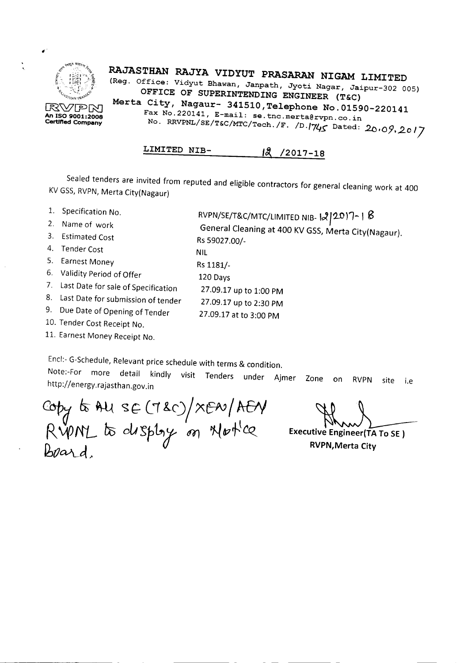

RAJASTHAN RAJYA VIDYUT PRASARAN NIGAM LIMITED (Reg. Office: Vidyut Bhawan, Janpath, Jyoti Nagar, Jaipur-302 005) OFFICE OF SUPERINTENDING ENGINEER (T&C) Merta City, Nagaur- 341510, Telephone No. 01590-220141 Fax No.220141, E-mail: se.tnc.merta@rvpn.co.in No. RRVPNL/SE/T&C/MTC/Tech./F. */D./74S* Dated: *.20.09 •.2017*

RVPN/SE/T&C/MTC/LIMITED NIB-12017-1 **B** 

General Cleaning at 400 KV GSS, Merta City(Nagaur).

LIMITED NIB-  $18$  /2017-18

Sealed tenders are invited from reputed and eligible contractors for general cleaning work at 400 KV GSS,RVPN, Merta City(Nagaur)

Rs 59027.00/-

Rs 1181/- 120 Days

NIL

- 1. Specification No.
- 2. Name of work
- 3. Estimated Cost
- 4. Tender Cost
- 5. Earnest Money
- 6. Validity Period of Offer
- 7. Last Date for sale of Specification 27.09.17 up to 1:00 PM
- 8. Last Date for submission of tender 27.09.17 up to 2:30 PM
- 9. Due Date of Opening of Tender 27.09.17 at to 3:00 PM
- 10. Tender Cost Receipt No.
- 11. Earnest Money Receipt No.

Encl:- G-Schedule, Relevant price schedule with terms & condition. Note:-For more detail kindly visit Tenders under Ajmer Zone on RVPN site i.e http://energy.rajasthan.gov.in

Copy to AU SE (7&C)/XEN/AEN RVPNL to display on Not'ce *I6tJQ..\\_~ ,.*

Executive Engineer(TA To SE) RVPN,Merta City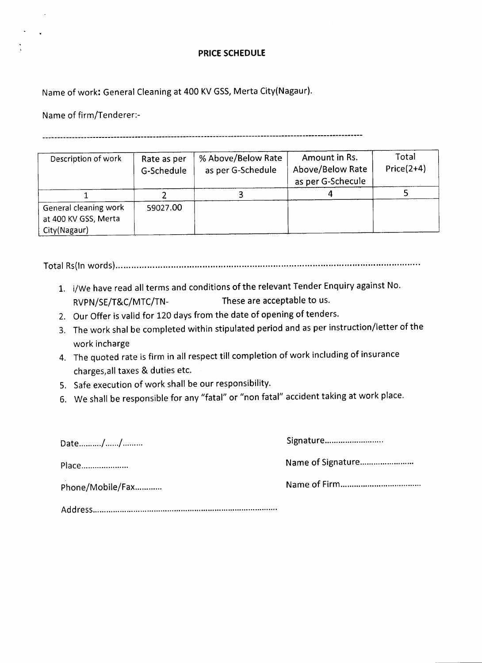### **PRICE SCHEDULE**

Name of work: General Cleaning at 400 KV GSS, Merta City(Nagaur).

Name of firm/Tenderer:-

 $\lambda$ 

**-----------------------------------------------------------------------------------------------------------**

| Description of work                                           | Rate as per<br>G-Schedule | % Above/Below Rate<br>as per G-Schedule | Amount in Rs.<br>Above/Below Rate<br>as per G-Schecule | Total<br>$Price(2+4)$ |
|---------------------------------------------------------------|---------------------------|-----------------------------------------|--------------------------------------------------------|-----------------------|
|                                                               |                           |                                         |                                                        |                       |
| General cleaning work<br>at 400 KV GSS, Merta<br>City(Nagaur) | 59027.00                  |                                         |                                                        |                       |

Total Rs(ln words) · ·..· .

- 1. i/We have read all terms and conditions of the relevant Tender Enquiry against No. RVPN/SE/T&C/MTC/TN- These are acceptable to us.
- 2. Our Offer is valid for 120 days from the date of opening of tenders.
- 3. The work shal be completed within stipulated period and as per instruction/letter of the work incharge
- 4. The quoted rate is firm in all respect till completion of work including of insurance charges.all taxes & duties etc.
- 5. Safe execution of work shall be our responsibility.
- 6. We shall be responsible for any "fatal" or "non fatal" accident taking at work place.

| Date//           | Signature |
|------------------|-----------|
| Place            |           |
| Phone/Mobile/Fax |           |
|                  |           |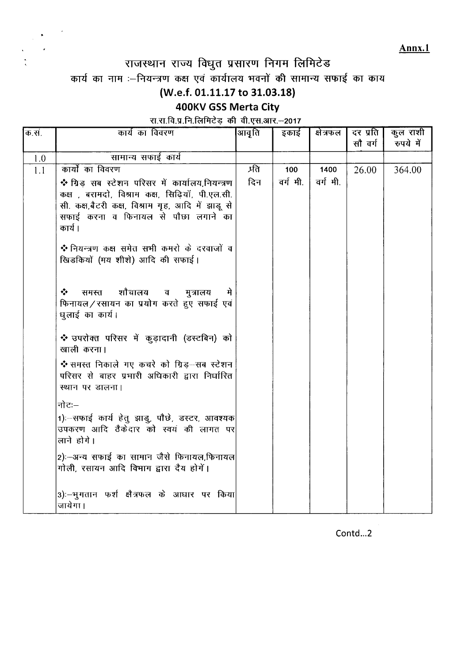Annx.1

# राजस्थान राज्य विधुत प्रसारण निगम लिमिटेड

कार्य का नाम :--नियन्त्रण कक्ष एवं कार्यालय भवनों की सामान्य सफाई का काय

## (W.e.f. 01.11.17 to 31.03.18)

## 400KV GSS Merta City

### रा.रा.वि.प्र.नि.लिमिटेड़ की वी.एस.आर.-2017

| क.सं. | कार्य का विवरण                                                                         | आवृति | इकाई    | क्षेत्रफल | दर प्रति | कुल राशी  |
|-------|----------------------------------------------------------------------------------------|-------|---------|-----------|----------|-----------|
|       |                                                                                        |       |         |           | सौ वर्ग  | रुपये में |
| 1.0   | सामान्य सफाई कार्य                                                                     |       |         |           |          |           |
| 1.1   | कार्यो का विवरण                                                                        | प्रति | 100     | 1400      | 26.00    | 364.00    |
|       | ❖ ग्रिड सब स्टेशन परिसर में कार्यालय,नियन्त्रण                                         | दिन   | वर्गमी. | वर्ग मी.  |          |           |
|       | कक्ष , बरामदो, विश्राम कक्ष, सिढ़ियॉ, पी.एल.सी.                                        |       |         |           |          |           |
|       | सी. कक्ष,बैटरी कक्ष, विश्राम गृह, आदि में झाडू से                                      |       |         |           |          |           |
|       | सफाई करना व फिनायल से पौछा लगाने का                                                    |       |         |           |          |           |
|       | कार्य ।                                                                                |       |         |           |          |           |
|       | ❖ नियन्त्रण कक्ष समेत सभी कमरो के दरवाजों व                                            |       |         |           |          |           |
|       | खिडकियों (मय शीशे) आदि की सफाई।                                                        |       |         |           |          |           |
|       |                                                                                        |       |         |           |          |           |
|       |                                                                                        |       |         |           |          |           |
|       | शौचालय<br>❖<br>समस्त<br>मुत्रालय<br>व                                                  |       |         |           |          |           |
|       | फिनायल/रसायन का प्रयोग करते हुए सफाई एवं<br>धुलाई का कार्य।                            |       |         |           |          |           |
|       |                                                                                        |       |         |           |          |           |
|       | ❖ उपरोक्त परिसर में कुड़ादानी (डस्टबिन) को                                             |       |         |           |          |           |
|       | खाली करना।                                                                             |       |         |           |          |           |
|       | ❖ समस्त निकाले गए कचरे को ग्रिड−सब स्टेशन                                              |       |         |           |          |           |
|       | परिसर से बाहर प्रभारी अधिकारी द्वारा निर्धारित                                         |       |         |           |          |           |
|       | स्थान पर डालना।                                                                        |       |         |           |          |           |
|       | नोटः—                                                                                  |       |         |           |          |           |
|       |                                                                                        |       |         |           |          |           |
|       | 1):-सफाई कार्य हेतु झाडु, पौछे, डस्टर, आवश्यक<br>उपकरण आदि ठैकेदार को स्वयं की लागत पर |       |         |           |          |           |
|       | लाने होगे।                                                                             |       |         |           |          |           |
|       |                                                                                        |       |         |           |          |           |
|       | 2):-अन्य सफाई का सामान जैसे फिनायल,फिनायल<br>गोली, रसायन आदि विभाग द्वारा दैय होगें।   |       |         |           |          |           |
|       |                                                                                        |       |         |           |          |           |
|       | 3):--भूगतान फर्श क्षैत्रफल के आधार पर किया                                             |       |         |           |          |           |
|       | जायेगा।                                                                                |       |         |           |          |           |
|       |                                                                                        |       |         |           |          |           |

Contd...2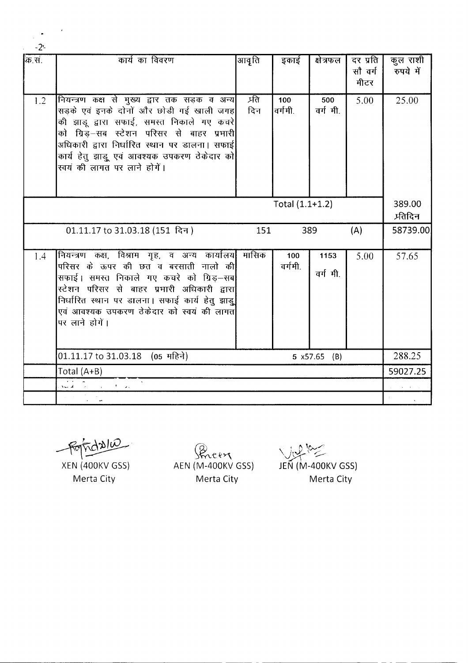| क्रि.स.                                                                                                                                                                                                                                                                                                                                                                                                                 | कार्य का विवरण                                                                                                                                                                                                                                                                                                                  | आवृति               | इकाई           | क्षेत्रफल       | दर प्रति<br>सौ वर्ग<br>मीटर | कुल राशी<br>रुपये में |
|-------------------------------------------------------------------------------------------------------------------------------------------------------------------------------------------------------------------------------------------------------------------------------------------------------------------------------------------------------------------------------------------------------------------------|---------------------------------------------------------------------------------------------------------------------------------------------------------------------------------------------------------------------------------------------------------------------------------------------------------------------------------|---------------------|----------------|-----------------|-----------------------------|-----------------------|
| 1.2                                                                                                                                                                                                                                                                                                                                                                                                                     | नियन्त्रण कक्ष से मुख्य द्वार तक सड़क व अन्य<br>सड़के एवं इनके दोनों और छोड़ी गई खाली जगह<br>की झाडू द्वारा सफाई, समस्त निकाले गए कचरे $\vert$<br>को ग्रिड़—सब स्टेशन परिसर से बाहर प्रभारी<br>अधिकारी द्वारा निर्धारित स्थान पर डालना। सफाई <br>कार्य हेतु झाड़ू एवं आवश्यक उपकरण ठेकेदार को<br>स्वयं की लागत पर लाने होगें।   | <u>प्रति</u><br>दिन | 100<br>वर्गमी. | 500<br>वर्गमी.  | 5.00                        | 25.00                 |
| Total $(1.1+1.2)$                                                                                                                                                                                                                                                                                                                                                                                                       |                                                                                                                                                                                                                                                                                                                                 |                     |                |                 |                             |                       |
|                                                                                                                                                                                                                                                                                                                                                                                                                         | 01.11.17 to 31.03.18 (151 दिन)                                                                                                                                                                                                                                                                                                  | 151                 |                | 389             | (A)                         | 58739.00              |
| 1.4                                                                                                                                                                                                                                                                                                                                                                                                                     | नियन्त्रण कक्ष, विश्राम गृह, व अन्य कार्यालय <br>परिसर के ऊपर की छत व बरसाती नालो की <mark>.</mark><br>सफाई। समस्त निकाले गए कचरे को ग्रिड़–सब<br>स्टेशन परिसर से बाहर प्रभारी अधिकारी द्वारा <mark>।</mark><br>निर्धारित स्थान पर डालना। सफाई कार्य हेतु झाड़ू<br>एवं आवश्यक उपकरण ठेकेदार को स्वयं की लागत <br>पर लाने होगें। | ्मासिक              | 100<br>वर्गमी. | 1153<br>वर्गमी. | 5.00                        | 57.65                 |
|                                                                                                                                                                                                                                                                                                                                                                                                                         | 01.11.17 to 31.03.18 (05 महिने)<br>5 x57.65 (B)                                                                                                                                                                                                                                                                                 |                     |                |                 |                             | 288.25                |
| Total (A+B)                                                                                                                                                                                                                                                                                                                                                                                                             |                                                                                                                                                                                                                                                                                                                                 |                     |                |                 | 59027.25                    |                       |
| $\mathbf{N} \mathbf{G} \mathbf{A} = \mathbf{A} \mathbf{A} + \mathbf{A} \mathbf{A} + \mathbf{A} \mathbf{A} + \mathbf{A} \mathbf{A} + \mathbf{A} \mathbf{A} + \mathbf{A} \mathbf{A} + \mathbf{A} \mathbf{A} + \mathbf{A} \mathbf{A} + \mathbf{A} \mathbf{A} + \mathbf{A} \mathbf{A} + \mathbf{A} \mathbf{A} + \mathbf{A} \mathbf{A} + \mathbf{A} \mathbf{A} + \mathbf{A} \mathbf{A} + \mathbf{A} \mathbf{A} + \mathbf{A}$ |                                                                                                                                                                                                                                                                                                                                 |                     |                |                 | <b>Contractor</b>           |                       |
|                                                                                                                                                                                                                                                                                                                                                                                                                         |                                                                                                                                                                                                                                                                                                                                 |                     |                |                 |                             |                       |

 $rac{Q}{2}$ 

XEN(400KV GSS) Merta City

*~~~~Y\* AEN (M-400KV GSS) Merta City

 $\sqrt{|u|^2}$ JEN(M-400KV GSS) Merta City

--------- - - - ----

 $\ddot{\phantom{0}}$ -2'-

 $\ddot{\phantom{a}}$